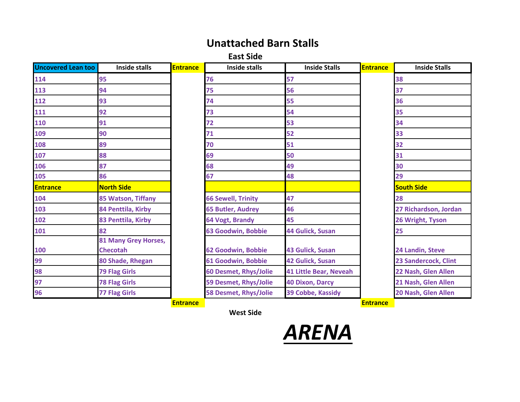## **Unattached Barn Stalls**

**East Side**

| <b>Uncovered Lean too</b> | <b>Inside stalls</b>                    | <b>Entrance</b> | <b>Inside stalls</b>      | <b>Inside Stalls</b>          | <b>Entrance</b> | <b>Inside Stalls</b>  |
|---------------------------|-----------------------------------------|-----------------|---------------------------|-------------------------------|-----------------|-----------------------|
| 114                       | 95                                      |                 | 76                        | 57                            |                 | 38                    |
| 113                       | 94                                      |                 | 75                        | 56                            |                 | 37                    |
| 112                       | 93                                      |                 | 74                        | 55                            |                 | 36                    |
| 111                       | 92                                      |                 | 73                        | 54                            |                 | 35                    |
| 110                       | 91                                      |                 | 72                        | 53                            |                 | 34                    |
| 109                       | 90                                      |                 | 71                        | 52                            |                 | 33                    |
| 108                       | 89                                      |                 | 70                        | 51                            |                 | 32                    |
| 107                       | 88                                      |                 | 69                        | 50                            |                 | 31                    |
| 106                       | 87                                      |                 | 68                        | 49                            |                 | 30                    |
| 105                       | 86                                      |                 | 67                        | 48                            |                 | 29                    |
| <b>Entrance</b>           | <b>North Side</b>                       |                 |                           |                               |                 | <b>South Side</b>     |
| 104                       | 85 Watson, Tiffany                      |                 | <b>66 Sewell, Trinity</b> | 47                            |                 | 28                    |
| 103                       | 84 Penttila, Kirby                      |                 | <b>65 Butler, Audrey</b>  | 46                            |                 | 27 Richardson, Jordan |
| 102                       | 83 Penttila, Kirby                      |                 | 64 Vogt, Brandy           | 45                            |                 | 26 Wright, Tyson      |
| 101                       | 82                                      |                 | <b>63 Goodwin, Bobbie</b> | 44 Gulick, Susan              |                 | 25                    |
| 100                       | 81 Many Grey Horses,<br><b>Checotah</b> |                 | 62 Goodwin, Bobbie        | <b>43 Gulick, Susan</b>       |                 | 24 Landin, Steve      |
| 99                        | 80 Shade, Rhegan                        |                 | 61 Goodwin, Bobbie        | 42 Gulick, Susan              |                 | 23 Sandercock, Clint  |
| 98                        | <b>79 Flag Girls</b>                    |                 | 60 Desmet, Rhys/Jolie     | <b>41 Little Bear, Neveah</b> |                 | 22 Nash, Glen Allen   |
| 97                        | <b>78 Flag Girls</b>                    |                 | 59 Desmet, Rhys/Jolie     | <b>40 Dixon, Darcy</b>        |                 | 21 Nash, Glen Allen   |
| 96                        | <b>77 Flag Girls</b>                    |                 | 58 Desmet, Rhys/Jolie     | 39 Cobbe, Kassidy             |                 | 20 Nash, Glen Allen   |
|                           |                                         | <b>Entrance</b> |                           |                               | <b>Entrance</b> |                       |

**West Side**